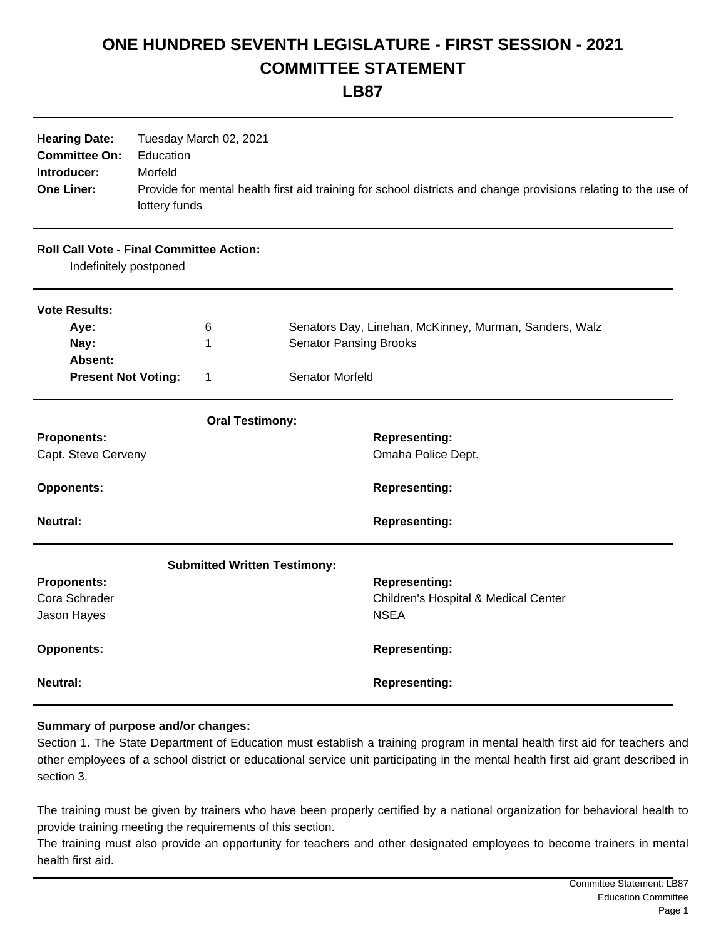## **ONE HUNDRED SEVENTH LEGISLATURE - FIRST SESSION - 2021 COMMITTEE STATEMENT**

**LB87**

| <b>Hearing Date:</b><br>Tuesday March 02, 2021<br><b>Committee On:</b><br>Education<br>Morfeld<br>Introducer:<br><b>One Liner:</b><br>Provide for mental health first aid training for school districts and change provisions relating to the use of<br>lottery funds |  |                                     |                               |                                                        |  |
|-----------------------------------------------------------------------------------------------------------------------------------------------------------------------------------------------------------------------------------------------------------------------|--|-------------------------------------|-------------------------------|--------------------------------------------------------|--|
| <b>Roll Call Vote - Final Committee Action:</b><br>Indefinitely postponed                                                                                                                                                                                             |  |                                     |                               |                                                        |  |
| <b>Vote Results:</b>                                                                                                                                                                                                                                                  |  |                                     |                               |                                                        |  |
| Aye:                                                                                                                                                                                                                                                                  |  | 6                                   |                               | Senators Day, Linehan, McKinney, Murman, Sanders, Walz |  |
| Nay:                                                                                                                                                                                                                                                                  |  | 1                                   | <b>Senator Pansing Brooks</b> |                                                        |  |
| Absent:                                                                                                                                                                                                                                                               |  |                                     |                               |                                                        |  |
| <b>Present Not Voting:</b>                                                                                                                                                                                                                                            |  | 1                                   | Senator Morfeld               |                                                        |  |
|                                                                                                                                                                                                                                                                       |  | <b>Oral Testimony:</b>              |                               |                                                        |  |
| <b>Proponents:</b>                                                                                                                                                                                                                                                    |  |                                     |                               | <b>Representing:</b>                                   |  |
| Capt. Steve Cerveny                                                                                                                                                                                                                                                   |  |                                     |                               | Omaha Police Dept.                                     |  |
| <b>Opponents:</b>                                                                                                                                                                                                                                                     |  |                                     |                               | <b>Representing:</b>                                   |  |
| <b>Neutral:</b>                                                                                                                                                                                                                                                       |  |                                     |                               | <b>Representing:</b>                                   |  |
|                                                                                                                                                                                                                                                                       |  | <b>Submitted Written Testimony:</b> |                               |                                                        |  |
| <b>Proponents:</b>                                                                                                                                                                                                                                                    |  |                                     |                               | <b>Representing:</b>                                   |  |
| Cora Schrader                                                                                                                                                                                                                                                         |  |                                     |                               | Children's Hospital & Medical Center                   |  |
| Jason Hayes                                                                                                                                                                                                                                                           |  |                                     |                               | <b>NSEA</b>                                            |  |
| <b>Opponents:</b>                                                                                                                                                                                                                                                     |  |                                     |                               | <b>Representing:</b>                                   |  |
| <b>Neutral:</b>                                                                                                                                                                                                                                                       |  |                                     |                               | <b>Representing:</b>                                   |  |

## **Summary of purpose and/or changes:**

Section 1. The State Department of Education must establish a training program in mental health first aid for teachers and other employees of a school district or educational service unit participating in the mental health first aid grant described in section 3.

The training must be given by trainers who have been properly certified by a national organization for behavioral health to provide training meeting the requirements of this section.

The training must also provide an opportunity for teachers and other designated employees to become trainers in mental health first aid.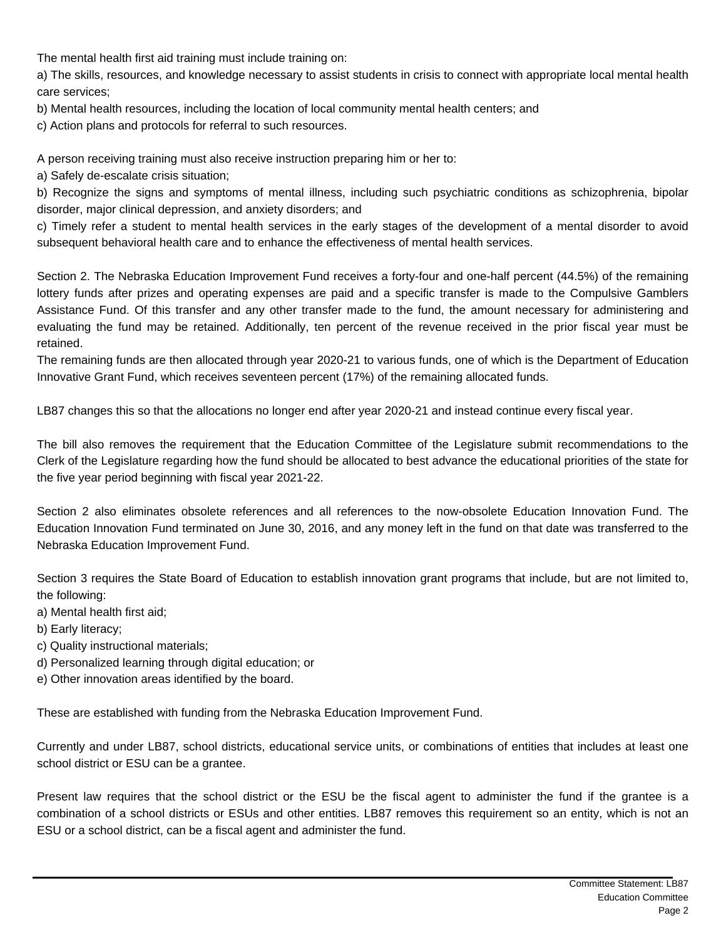The mental health first aid training must include training on:

a) The skills, resources, and knowledge necessary to assist students in crisis to connect with appropriate local mental health care services;

b) Mental health resources, including the location of local community mental health centers; and

c) Action plans and protocols for referral to such resources.

A person receiving training must also receive instruction preparing him or her to:

a) Safely de-escalate crisis situation;

b) Recognize the signs and symptoms of mental illness, including such psychiatric conditions as schizophrenia, bipolar disorder, major clinical depression, and anxiety disorders; and

c) Timely refer a student to mental health services in the early stages of the development of a mental disorder to avoid subsequent behavioral health care and to enhance the effectiveness of mental health services.

Section 2. The Nebraska Education Improvement Fund receives a forty-four and one-half percent (44.5%) of the remaining lottery funds after prizes and operating expenses are paid and a specific transfer is made to the Compulsive Gamblers Assistance Fund. Of this transfer and any other transfer made to the fund, the amount necessary for administering and evaluating the fund may be retained. Additionally, ten percent of the revenue received in the prior fiscal year must be retained.

The remaining funds are then allocated through year 2020-21 to various funds, one of which is the Department of Education Innovative Grant Fund, which receives seventeen percent (17%) of the remaining allocated funds.

LB87 changes this so that the allocations no longer end after year 2020-21 and instead continue every fiscal year.

The bill also removes the requirement that the Education Committee of the Legislature submit recommendations to the Clerk of the Legislature regarding how the fund should be allocated to best advance the educational priorities of the state for the five year period beginning with fiscal year 2021-22.

Section 2 also eliminates obsolete references and all references to the now-obsolete Education Innovation Fund. The Education Innovation Fund terminated on June 30, 2016, and any money left in the fund on that date was transferred to the Nebraska Education Improvement Fund.

Section 3 requires the State Board of Education to establish innovation grant programs that include, but are not limited to, the following:

- a) Mental health first aid;
- b) Early literacy;

c) Quality instructional materials;

d) Personalized learning through digital education; or

e) Other innovation areas identified by the board.

These are established with funding from the Nebraska Education Improvement Fund.

Currently and under LB87, school districts, educational service units, or combinations of entities that includes at least one school district or ESU can be a grantee.

Present law requires that the school district or the ESU be the fiscal agent to administer the fund if the grantee is a combination of a school districts or ESUs and other entities. LB87 removes this requirement so an entity, which is not an ESU or a school district, can be a fiscal agent and administer the fund.